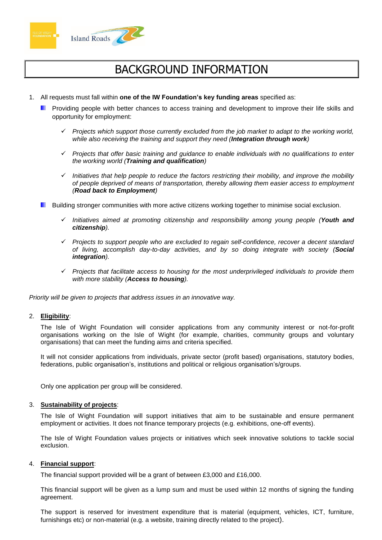



# BACKGROUND INFORMATION

- 1. All requests must fall within **one of the IW Foundation's key funding areas** specified as:
	- **Providing people with better chances to access training and development to improve their life skills and** opportunity for employment:
		- ✓ *Projects which support those currently excluded from the job market to adapt to the working world, while also receiving the training and support they need (Integration through work)*
		- ✓ *Projects that offer basic training and guidance to enable individuals with no qualifications to enter the working world (Training and qualification)*
		- ✓ *Initiatives that help people to reduce the factors restricting their mobility, and improve the mobility of people deprived of means of transportation, thereby allowing them easier access to employment (Road back to Employment)*
	- **Building stronger communities with more active citizens working together to minimise social exclusion.** 
		- ✓ *Initiatives aimed at promoting citizenship and responsibility among young people (Youth and citizenship).*
		- ✓ *Projects to support people who are excluded to regain self-confidence, recover a decent standard of living, accomplish day-to-day activities, and by so doing integrate with society (Social integration).*
		- ✓ *Projects that facilitate access to housing for the most underprivileged individuals to provide them with more stability (Access to housing).*

*Priority will be given to projects that address issues in an innovative way.*

#### 2. **Eligibility**:

The Isle of Wight Foundation will consider applications from any community interest or not-for-profit organisations working on the Isle of Wight (for example, charities, community groups and voluntary organisations) that can meet the funding aims and criteria specified.

It will not consider applications from individuals, private sector (profit based) organisations, statutory bodies, federations, public organisation's, institutions and political or religious organisation's/groups.

Only one application per group will be considered.

#### 3. **Sustainability of projects**:

The Isle of Wight Foundation will support initiatives that aim to be sustainable and ensure permanent employment or activities. It does not finance temporary projects (e.g. exhibitions, one-off events).

The Isle of Wight Foundation values projects or initiatives which seek innovative solutions to tackle social exclusion.

#### 4. **Financial support**:

The financial support provided will be a grant of between £3,000 and £16,000.

This financial support will be given as a lump sum and must be used within 12 months of signing the funding agreement.

The support is reserved for investment expenditure that is material (equipment, vehicles, ICT, furniture, furnishings etc) or non-material (e.g. a website, training directly related to the project).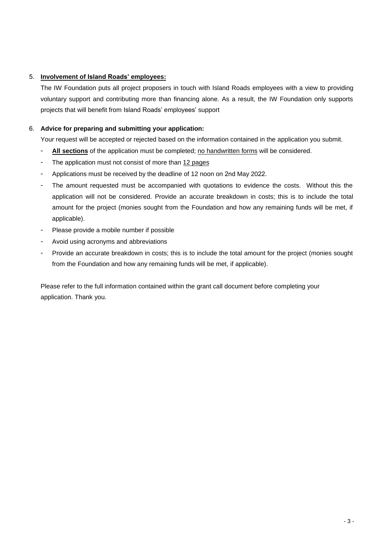### 5. **Involvement of Island Roads' employees:**

The IW Foundation puts all project proposers in touch with Island Roads employees with a view to providing voluntary support and contributing more than financing alone. As a result, the IW Foundation only supports projects that will benefit from Island Roads' employees' support

### 6. **Advice for preparing and submitting your application:**

Your request will be accepted or rejected based on the information contained in the application you submit.

- **All sections** of the application must be completed; no handwritten forms will be considered.
- The application must not consist of more than 12 pages
- Applications must be received by the deadline of 12 noon on 2nd May 2022.
- The amount requested must be accompanied with quotations to evidence the costs. Without this the application will not be considered. Provide an accurate breakdown in costs; this is to include the total amount for the project (monies sought from the Foundation and how any remaining funds will be met, if applicable).
- Please provide a mobile number if possible
- Avoid using acronyms and abbreviations
- Provide an accurate breakdown in costs; this is to include the total amount for the project (monies sought from the Foundation and how any remaining funds will be met, if applicable).

Please refer to the full information contained within the grant call document before completing your application. Thank you.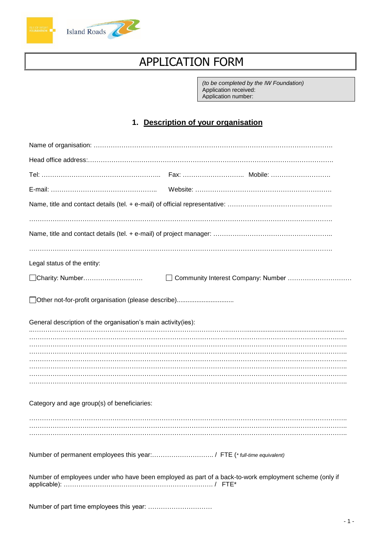



# APPLICATION FORM

*(to be completed by the IW Foundation)* Application received: Application number:

## **1. Description of your organisation**

| Legal status of the entity:                                                                           |                                    |
|-------------------------------------------------------------------------------------------------------|------------------------------------|
| Charity: Number                                                                                       | Community Interest Company: Number |
| □ Other not-for-profit organisation (please describe)                                                 |                                    |
| General description of the organisation's main activity(ies):                                         |                                    |
|                                                                                                       |                                    |
|                                                                                                       |                                    |
|                                                                                                       |                                    |
|                                                                                                       |                                    |
|                                                                                                       |                                    |
| Category and age group(s) of beneficiaries:                                                           |                                    |
|                                                                                                       |                                    |
| Number of permanent employees this year:/ FTE (* full-time equivalent)                                |                                    |
| Number of employees under who have been employed as part of a back-to-work employment scheme (only if |                                    |
| Number of part time employees this year:                                                              |                                    |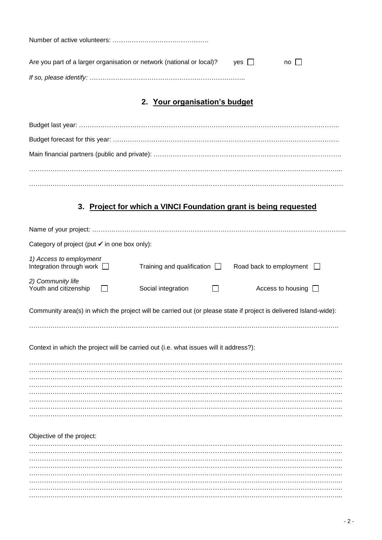| Are you part of a larger organisation or network (national or local)? | $ves$ $\vert$ | $no$ $\perp$ |  |
|-----------------------------------------------------------------------|---------------|--------------|--|
|                                                                       |               |              |  |

# **2. Your organisation's budget**

# **3. Project for which a VINCI Foundation grant is being requested**

| Category of project (put $\checkmark$ in one box only):                               |                                   |                                                                                                                   |  |
|---------------------------------------------------------------------------------------|-----------------------------------|-------------------------------------------------------------------------------------------------------------------|--|
| 1) Access to employment<br>Integration through work $\Box$                            | Training and qualification $\Box$ | Road back to employment                                                                                           |  |
| 2) Community life<br>Youth and citizenship                                            | Social integration                | Access to housing                                                                                                 |  |
|                                                                                       |                                   | Community area(s) in which the project will be carried out (or please state if project is delivered Island-wide): |  |
| Context in which the project will be carried out (i.e. what issues will it address?): |                                   |                                                                                                                   |  |
|                                                                                       |                                   |                                                                                                                   |  |
|                                                                                       |                                   |                                                                                                                   |  |
|                                                                                       |                                   |                                                                                                                   |  |
|                                                                                       |                                   |                                                                                                                   |  |
| Objective of the project:                                                             |                                   |                                                                                                                   |  |
|                                                                                       |                                   |                                                                                                                   |  |
|                                                                                       |                                   |                                                                                                                   |  |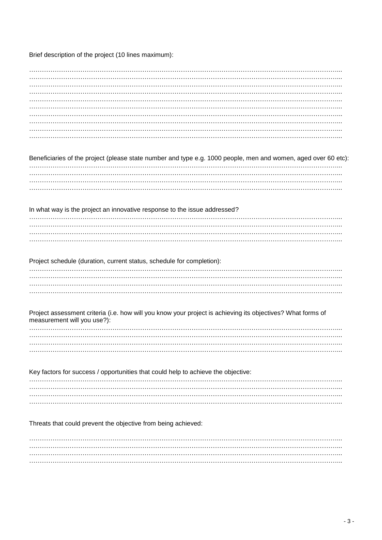Brief description of the project (10 lines maximum):

| Beneficiaries of the project (please state number and type e.g. 1000 people, men and women, aged over 60 etc): |  |
|----------------------------------------------------------------------------------------------------------------|--|
|                                                                                                                |  |
|                                                                                                                |  |
|                                                                                                                |  |
|                                                                                                                |  |
|                                                                                                                |  |
| In what way is the project an innovative response to the issue addressed?                                      |  |
|                                                                                                                |  |
|                                                                                                                |  |
|                                                                                                                |  |
|                                                                                                                |  |
|                                                                                                                |  |
|                                                                                                                |  |
| Project schedule (duration, current status, schedule for completion):                                          |  |
|                                                                                                                |  |
|                                                                                                                |  |
|                                                                                                                |  |
|                                                                                                                |  |
|                                                                                                                |  |
| Project assessment criteria (i.e. how will you know your project is achieving its objectives? What forms of    |  |
| measurement will you use?):                                                                                    |  |
|                                                                                                                |  |
|                                                                                                                |  |
|                                                                                                                |  |
|                                                                                                                |  |
|                                                                                                                |  |
| Key factors for success / opportunities that could help to achieve the objective:                              |  |
|                                                                                                                |  |
|                                                                                                                |  |
|                                                                                                                |  |
|                                                                                                                |  |
|                                                                                                                |  |
|                                                                                                                |  |
|                                                                                                                |  |
| Threats that could prevent the objective from being achieved:                                                  |  |
|                                                                                                                |  |
|                                                                                                                |  |
|                                                                                                                |  |
|                                                                                                                |  |
|                                                                                                                |  |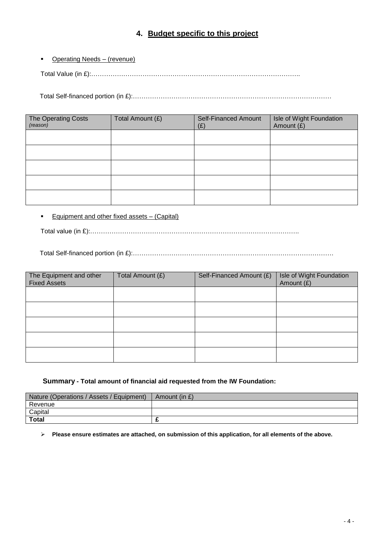### **4. Budget specific to this project**

**•** Operating Needs – (revenue)

Total Value (in £):……………………………………………………………………………………..

Total Self-financed portion (in £):…………………………………………………………………………………

| The Operating Costs<br>(reason) | Total Amount (£) | <b>Self-Financed Amount</b><br>(E) | Isle of Wight Foundation<br>Amount (£) |
|---------------------------------|------------------|------------------------------------|----------------------------------------|
|                                 |                  |                                    |                                        |
|                                 |                  |                                    |                                        |
|                                 |                  |                                    |                                        |
|                                 |                  |                                    |                                        |
|                                 |                  |                                    |                                        |

■ Equipment and other fixed assets – (Capital)

Total value (in £):……………………………………………………………………………………..

Total Self-financed portion (in £):………………………………………………………………………………….

| The Equipment and other<br><b>Fixed Assets</b> | Total Amount (£) | Self-Financed Amount (£) | Isle of Wight Foundation<br>Amount (£) |
|------------------------------------------------|------------------|--------------------------|----------------------------------------|
|                                                |                  |                          |                                        |
|                                                |                  |                          |                                        |
|                                                |                  |                          |                                        |
|                                                |                  |                          |                                        |
|                                                |                  |                          |                                        |

#### **Summary - Total amount of financial aid requested from the IW Foundation:**

| Nature (Operations / Assets / Equipment) | Amount (in £) |
|------------------------------------------|---------------|
| Revenue                                  |               |
| Capital                                  |               |
| <b>Total</b>                             |               |

➢ **Please ensure estimates are attached, on submission of this application, for all elements of the above.**